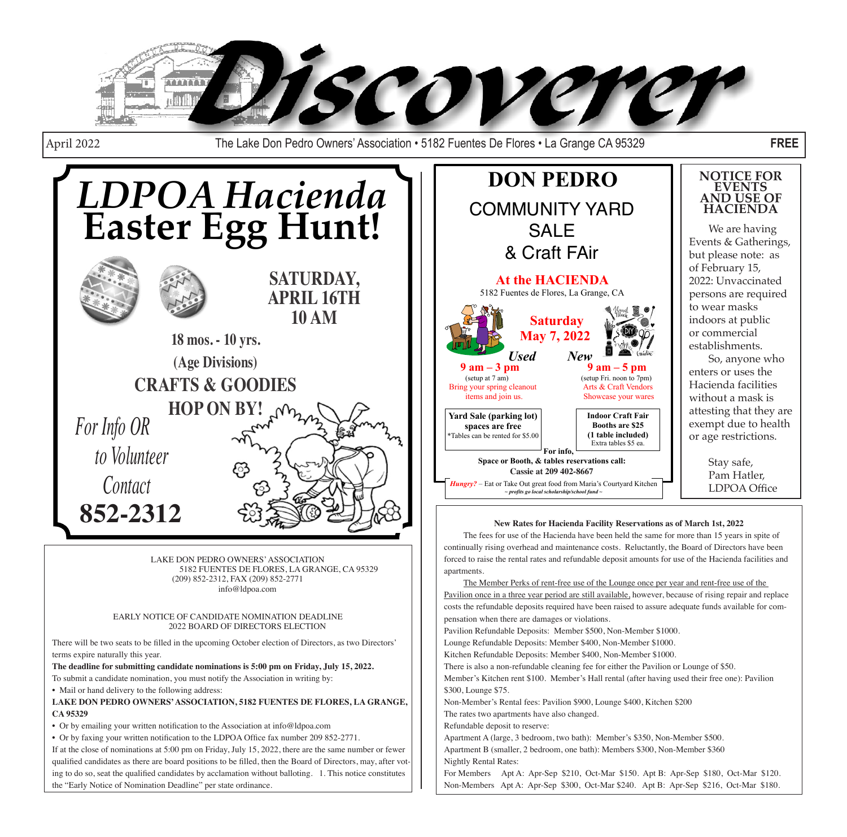

April 2022 The Lake Don Pedro Owners' Association • 5182 Fuentes De Flores • La Grange CA 95329 **FREE**



LAKE DON PEDRO OWNERS' ASSOCIATION 5182 FUENTES DE FLORES, LA GRANGE, CA 95329 (209) 852-2312, FAX (209) 852-2771 info@ldpoa.com

#### EARLY NOTICE OF CANDIDATE NOMINATION DEADLINE 2022 BOARD OF DIRECTORS ELECTION

There will be two seats to be filled in the upcoming October election of Directors, as two Directors' terms expire naturally this year.

**The deadline for submitting candidate nominations is 5:00 pm on Friday, July 15, 2022.**

To submit a candidate nomination, you must notify the Association in writing by:

• Mail or hand delivery to the following address:

**LAKE DON PEDRO OWNERS' ASSOCIATION, 5182 FUENTES DE FLORES, LA GRANGE, CA 95329**

• Or by emailing your written notification to the Association at info@ldpoa.com

• Or by faxing your written notification to the LDPOA Office fax number 209 852-2771.

If at the close of nominations at 5:00 pm on Friday, July 15, 2022, there are the same number or fewer qualified candidates as there are board positions to be filled, then the Board of Directors, may, after voting to do so, seat the qualified candidates by acclamation without balloting. 1. This notice constitutes the "Early Notice of Nomination Deadline" per state ordinance.



#### **New Rates for Hacienda Facility Reservations as of March 1st, 2022**

The fees for use of the Hacienda have been held the same for more than 15 years in spite of continually rising overhead and maintenance costs. Reluctantly, the Board of Directors have been forced to raise the rental rates and refundable deposit amounts for use of the Hacienda facilities and apartments.

The Member Perks of rent-free use of the Lounge once per year and rent-free use of the Pavilion once in a three year period are still available, however, because of rising repair and replace costs the refundable deposits required have been raised to assure adequate funds available for compensation when there are damages or violations.

Pavilion Refundable Deposits: Member \$500, Non-Member \$1000.

Lounge Refundable Deposits: Member \$400, Non-Member \$1000.

Kitchen Refundable Deposits: Member \$400, Non-Member \$1000.

There is also a non-refundable cleaning fee for either the Pavilion or Lounge of \$50.

Member's Kitchen rent \$100. Member's Hall rental (after having used their free one): Pavilion \$300, Lounge \$75.

Non-Member's Rental fees: Pavilion \$900, Lounge \$400, Kitchen \$200

The rates two apartments have also changed.

Refundable deposit to reserve:

Apartment A (large, 3 bedroom, two bath): Member's \$350, Non-Member \$500.

Apartment B (smaller, 2 bedroom, one bath): Members \$300, Non-Member \$360 Nightly Rental Rates:

For Members Apt A: Apr-Sep \$210, Oct-Mar \$150. Apt B: Apr-Sep \$180, Oct-Mar \$120. Non-Members Apt A: Apr-Sep \$300, Oct-Mar \$240. Apt B: Apr-Sep \$216, Oct-Mar \$180.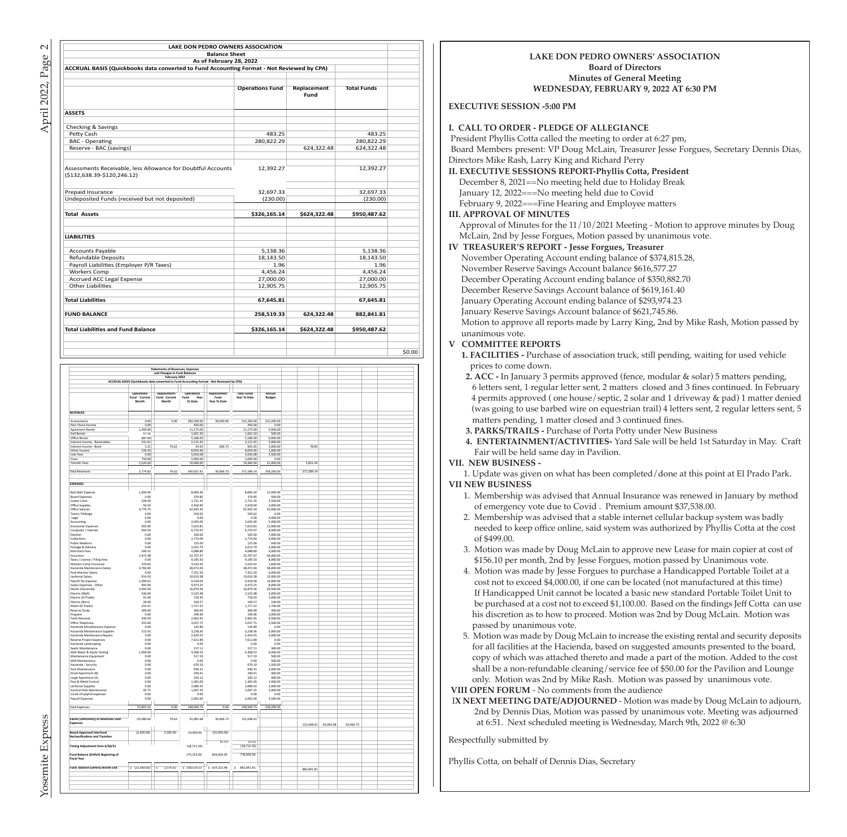| <b>LAKE DON PEDRO OWNERS ASSOCIATION</b>                                                       |                        |              |                    |        |
|------------------------------------------------------------------------------------------------|------------------------|--------------|--------------------|--------|
| <b>Balance Sheet</b>                                                                           |                        |              |                    |        |
| As of February 28, 2022                                                                        |                        |              |                    |        |
| ACCRUAL BASIS (Quickbooks data converted to Fund Accounting Format - Not Reviewed by CPA)      |                        |              |                    |        |
|                                                                                                | <b>Operations Fund</b> | Replacement  | <b>Total Funds</b> |        |
|                                                                                                |                        | Fund         |                    |        |
| <b>ASSETS</b>                                                                                  |                        |              |                    |        |
| Checking & Savings                                                                             |                        |              |                    |        |
| Petty Cash                                                                                     | 483.25                 |              | 483.25             |        |
| <b>BAC</b> - Operating                                                                         | 280,822.29             |              | 280,822.29         |        |
| Reserve - BAC (savings)                                                                        |                        | 624,322.48   | 624,322.48         |        |
| Assessments Receivable, less Allowance for Doubtful Accounts<br>$( $132,638.39 - $120,246.12)$ | 12,392.27              |              | 12,392.27          |        |
| Prepaid Insurance                                                                              | 32,697.33              |              | 32,697.33          |        |
| Undeposited Funds (received but not deposited)                                                 | (230.00)               |              | (230.00)           |        |
| <b>Total Assets</b>                                                                            | \$326,165.14           | \$624,322.48 | \$950,487.62       |        |
| <b>LIABILITIES</b>                                                                             |                        |              |                    |        |
| <b>Accounts Payable</b>                                                                        | 5,138.36               |              | 5.138.36           |        |
| <b>Refundable Deposits</b>                                                                     | 18.143.50              |              | 18.143.50          |        |
| Payroll Liabilities (Employer P/R Taxes)                                                       | 1.96                   |              | 1.96               |        |
| <b>Workers Comp</b>                                                                            | 4,456.24               |              | 4,456.24           |        |
| <b>Accrued ACC Legal Expense</b>                                                               | 27,000.00              |              | 27,000.00          |        |
| <b>Other Liabilities</b>                                                                       | 12,905.75              |              | 12,905.75          |        |
| <b>Total Liabilities</b>                                                                       | 67,645.81              |              | 67,645.81          |        |
| <b>FUND BALANCE</b>                                                                            | 258,519.33             | 624,322.48   | 882,841.81         |        |
| <b>Total Liabilities and Fund Balance</b>                                                      | \$326,165.14           | \$624,322.48 | \$950,487.62       |        |
|                                                                                                |                        |              |                    |        |
|                                                                                                |                        |              |                    | \$0.00 |

| <b>REVENUES</b><br>Assessments<br>Plan Check Income<br>Apartment Rental<br>Hall Rental<br>Office Rental<br>Interest Income - Receivables<br>Interest Income - Bank<br>Other Income<br>Late Fees | Operations<br>Fund Current<br>Month<br>0.00 | and Changes In Fund Balances<br>February 2022<br>Replacement<br>Fund Current<br>Month | ACCRUAL BASIS (Quickbooks data converted to Fund Accounting Format - Not Reviewed by CPA)<br>Operations<br>Fund<br>Year<br>To Date | Replacement<br>Fund<br>Year To Date | <b>Total Funds</b><br>Year To Date | Annual<br><b>Budget</b> |            |              |           |  |
|-------------------------------------------------------------------------------------------------------------------------------------------------------------------------------------------------|---------------------------------------------|---------------------------------------------------------------------------------------|------------------------------------------------------------------------------------------------------------------------------------|-------------------------------------|------------------------------------|-------------------------|------------|--------------|-----------|--|
|                                                                                                                                                                                                 |                                             |                                                                                       |                                                                                                                                    |                                     |                                    |                         |            |              |           |  |
|                                                                                                                                                                                                 |                                             |                                                                                       |                                                                                                                                    |                                     |                                    |                         |            |              |           |  |
|                                                                                                                                                                                                 |                                             |                                                                                       |                                                                                                                                    |                                     |                                    |                         |            |              |           |  |
|                                                                                                                                                                                                 |                                             |                                                                                       |                                                                                                                                    |                                     |                                    |                         |            |              |           |  |
|                                                                                                                                                                                                 |                                             |                                                                                       |                                                                                                                                    |                                     |                                    |                         |            |              |           |  |
|                                                                                                                                                                                                 |                                             |                                                                                       |                                                                                                                                    |                                     |                                    |                         |            |              |           |  |
|                                                                                                                                                                                                 |                                             |                                                                                       |                                                                                                                                    |                                     |                                    |                         |            |              |           |  |
|                                                                                                                                                                                                 |                                             |                                                                                       |                                                                                                                                    |                                     |                                    |                         |            |              |           |  |
|                                                                                                                                                                                                 |                                             |                                                                                       |                                                                                                                                    |                                     |                                    |                         |            |              |           |  |
|                                                                                                                                                                                                 |                                             |                                                                                       |                                                                                                                                    |                                     |                                    |                         |            |              |           |  |
|                                                                                                                                                                                                 |                                             | 0.00                                                                                  | 282,200.00                                                                                                                         | 30,000.00                           | 312,200.00                         | 312,200.00              |            |              |           |  |
|                                                                                                                                                                                                 | 0.00                                        |                                                                                       | 450.00                                                                                                                             |                                     | 450.00                             | 0.00                    |            |              |           |  |
|                                                                                                                                                                                                 | 1,300.00                                    |                                                                                       | 11.175.00                                                                                                                          |                                     | 11.175.00                          | 5,000.00                |            |              |           |  |
|                                                                                                                                                                                                 | 57.50                                       |                                                                                       | 1,601.50                                                                                                                           |                                     | 1,601.50                           | 500.00                  |            |              |           |  |
|                                                                                                                                                                                                 |                                             |                                                                                       |                                                                                                                                    |                                     |                                    |                         |            |              |           |  |
|                                                                                                                                                                                                 | 687.00                                      |                                                                                       | 5,186.00                                                                                                                           |                                     | 5,186.00                           | 6,000.00                |            |              |           |  |
|                                                                                                                                                                                                 | 231.61                                      |                                                                                       | 2,115.45                                                                                                                           |                                     | 2,115.45                           | 5,000.00                |            |              |           |  |
|                                                                                                                                                                                                 | 221                                         | 76.62                                                                                 | 24.92                                                                                                                              | 666.73                              | 691.65                             | 1,000.00                | 78.83      |              |           |  |
|                                                                                                                                                                                                 | 226.50                                      |                                                                                       | 8.059.46                                                                                                                           |                                     | 8.059.46                           | 2,000.00                |            |              |           |  |
|                                                                                                                                                                                                 | 0.00                                        |                                                                                       | \$650.08                                                                                                                           |                                     | 5.650.08                           | 5,500.00                |            |              |           |  |
| Fines                                                                                                                                                                                           | 750.00                                      |                                                                                       | 5.000.00                                                                                                                           |                                     | 5.000.00                           | 0.00                    |            |              |           |  |
| <b>Transfer Fees</b>                                                                                                                                                                            | 2,520.00                                    |                                                                                       | 19,460.00                                                                                                                          |                                     | 19,460.00                          | 21,000.00               | 5,851.44   |              |           |  |
|                                                                                                                                                                                                 |                                             |                                                                                       |                                                                                                                                    |                                     |                                    |                         |            |              |           |  |
| <b>Total Revenues</b>                                                                                                                                                                           | 5,774.82                                    | 76.62                                                                                 | 340,922.41                                                                                                                         | 30,666.73                           | 371,589.14                         | 358,200.00              | 371,589.14 |              |           |  |
|                                                                                                                                                                                                 |                                             |                                                                                       |                                                                                                                                    |                                     |                                    |                         |            |              |           |  |
|                                                                                                                                                                                                 |                                             |                                                                                       |                                                                                                                                    |                                     |                                    |                         |            |              |           |  |
| <b>EXPENSES</b>                                                                                                                                                                                 |                                             |                                                                                       |                                                                                                                                    |                                     |                                    |                         |            |              |           |  |
|                                                                                                                                                                                                 |                                             |                                                                                       |                                                                                                                                    |                                     |                                    |                         |            |              |           |  |
| <b>Bad Debt Expense</b>                                                                                                                                                                         | 1,000.00                                    |                                                                                       | 8,000.30                                                                                                                           |                                     | 8,000.30                           | 12,000.00               |            |              |           |  |
|                                                                                                                                                                                                 |                                             |                                                                                       |                                                                                                                                    |                                     |                                    |                         |            |              |           |  |
| <b>Board Expenses</b>                                                                                                                                                                           | 0.00                                        |                                                                                       | 379.85                                                                                                                             |                                     | 379.85                             | 500.00                  |            |              |           |  |
| Copier Costs                                                                                                                                                                                    | 228.49                                      |                                                                                       | 1,731.35                                                                                                                           |                                     | 1,731.35                           | 2,500.00                |            |              |           |  |
| Office Supplies                                                                                                                                                                                 | 56.50                                       |                                                                                       | 2,918.90                                                                                                                           |                                     | 2,918.90                           | 3,000.00                |            |              |           |  |
| Office Salaries                                                                                                                                                                                 | 4,770.75                                    |                                                                                       | 42,945.50                                                                                                                          |                                     | 42,945.50                          | 55,000.00               |            |              |           |  |
| Travel / Mileage                                                                                                                                                                                | 0.00                                        |                                                                                       | 550.62                                                                                                                             |                                     | 550.62                             | 0.00                    |            |              |           |  |
| Legal                                                                                                                                                                                           | 0.00                                        |                                                                                       | 0.00                                                                                                                               |                                     | 0.00                               | 3,000.00                |            |              |           |  |
| Accounting                                                                                                                                                                                      | 0.00                                        |                                                                                       | 2.045.00                                                                                                                           |                                     | 2,045.00                           | 5,400.00                |            |              |           |  |
| Discoverer Expenses                                                                                                                                                                             | 502.00                                      |                                                                                       | 7023.81                                                                                                                            |                                     | 702381                             | 11,000.00               |            |              |           |  |
| Computer / Internet                                                                                                                                                                             | 654.59                                      |                                                                                       | 6.725.97                                                                                                                           |                                     | 6.725.97                           | 8,000.00                |            |              |           |  |
| Election                                                                                                                                                                                        | 0.00                                        |                                                                                       | 100.00                                                                                                                             |                                     | 100.00                             | 7.000.00                |            |              |           |  |
| Collections                                                                                                                                                                                     | 0.00                                        |                                                                                       | 2,774.00                                                                                                                           |                                     | 2.774.00                           | 4,000.00                |            |              |           |  |
|                                                                                                                                                                                                 |                                             |                                                                                       | 125.00                                                                                                                             |                                     |                                    |                         |            |              |           |  |
| <b>Public Relations</b>                                                                                                                                                                         | 0.00                                        |                                                                                       |                                                                                                                                    |                                     | 125.00                             | 500.00                  |            |              |           |  |
| Postage & Delivery                                                                                                                                                                              | 0.00                                        |                                                                                       | 2,015.79                                                                                                                           |                                     | 2.015.79                           | 2,000.00                |            |              |           |  |
| Merchant Fees                                                                                                                                                                                   | 299.31                                      |                                                                                       | 4,088.89                                                                                                                           |                                     | 4,088.89                           | 4,000.00                |            |              |           |  |
| Insurance                                                                                                                                                                                       | 2,972.48                                    |                                                                                       | 23,797.97                                                                                                                          |                                     | 23,797.97                          | 36,000.00               |            |              |           |  |
| Taxes / License / Filing Fees                                                                                                                                                                   | 0.00                                        |                                                                                       | 9,185.50                                                                                                                           |                                     | 9,185.50                           | 8,000.00                |            |              |           |  |
| Workers Comp Insurance                                                                                                                                                                          | 374.82                                      |                                                                                       | 3,533.42                                                                                                                           |                                     | 3,533.42                           | 1,600.00                |            |              |           |  |
| Hacienda Maintenance Salary                                                                                                                                                                     | 4,760.00                                    |                                                                                       | 38,472.00                                                                                                                          |                                     | 38,472.00                          | 58,000.00               |            |              |           |  |
| Pool Monitor Salary                                                                                                                                                                             | 0.00                                        |                                                                                       | 7,351.50                                                                                                                           |                                     | 7,351.50                           | 6,000.00                |            |              |           |  |
| Janitorial Salary                                                                                                                                                                               | 914.50                                      |                                                                                       | 10,610.38                                                                                                                          |                                     | 10,610.38                          | 15,000.00               |            |              |           |  |
| Payroll Tax Expense                                                                                                                                                                             | 1,099.61                                    |                                                                                       | 9,418.00                                                                                                                           |                                     | 9,418.00                           | 14,000.00               |            |              |           |  |
| Salary Expenses - Other                                                                                                                                                                         | 995.00                                      |                                                                                       | 9,473.25                                                                                                                           |                                     | 9,473.25                           | 8,000.00                |            |              |           |  |
| Electic (Hacienda)                                                                                                                                                                              | 3,492.00                                    |                                                                                       | 16,879.36                                                                                                                          |                                     | 16,879.36                          | 20,500.00               |            |              |           |  |
|                                                                                                                                                                                                 | 536.00                                      |                                                                                       |                                                                                                                                    |                                     |                                    | 4.000.00                |            |              |           |  |
| Electric (Well)                                                                                                                                                                                 |                                             |                                                                                       | 2,525.98<br>718.30                                                                                                                 |                                     | 2,525.98<br>718.30                 | 1,000.00                |            |              |           |  |
| Electric (El Prado)                                                                                                                                                                             | 91.00                                       |                                                                                       |                                                                                                                                    |                                     |                                    |                         |            |              |           |  |
| Electric (Barn)                                                                                                                                                                                 | 28.00                                       |                                                                                       | 100.57                                                                                                                             |                                     | 100.57                             | 100.00                  |            |              |           |  |
| Water (El Prado)                                                                                                                                                                                | 222.61                                      |                                                                                       | 1.717.22                                                                                                                           |                                     | 1.717.22                           | 1.700.00                |            |              |           |  |
| Reserve Study                                                                                                                                                                                   | 300.00                                      |                                                                                       | 300.00                                                                                                                             |                                     | 300.00                             | 300.00                  |            |              |           |  |
| Propane                                                                                                                                                                                         | 0.00                                        |                                                                                       | 246.96                                                                                                                             |                                     | 246.96                             | 1,000.00                |            |              |           |  |
| <b>Trash Removal</b>                                                                                                                                                                            | 434.59                                      |                                                                                       | 2,962.45                                                                                                                           |                                     | 2,962.45                           | 4,500.00                |            |              |           |  |
| Office Telephone                                                                                                                                                                                | 553.00                                      |                                                                                       | 3,037.75                                                                                                                           |                                     | 3,037.75                           | 3,500.00                |            |              |           |  |
| Hacienda Miscellaneous Expense                                                                                                                                                                  | 0.00                                        |                                                                                       | 142.80                                                                                                                             |                                     | 142.80                             | 0.00                    |            |              |           |  |
| Hacienda Maintenance Supplies                                                                                                                                                                   | 515.42                                      |                                                                                       | 3,238.36                                                                                                                           |                                     | 3,238.36                           | 5,000.00                |            |              |           |  |
| Hacienda Maintenance Repairs                                                                                                                                                                    | 0.00                                        |                                                                                       | 2,424.55                                                                                                                           |                                     | 2,424.55                           | 2,000.00                |            |              |           |  |
|                                                                                                                                                                                                 |                                             |                                                                                       |                                                                                                                                    |                                     |                                    |                         |            |              |           |  |
| Reserve Project Expenses                                                                                                                                                                        | 0.00                                        |                                                                                       | 7,612.89                                                                                                                           |                                     | 7,612.89                           | 0.00                    |            |              |           |  |
| Hacienda Landscaping                                                                                                                                                                            | 0.00                                        |                                                                                       | 0.00                                                                                                                               |                                     | 0.00                               | 0.00                    |            |              |           |  |
| Septic Maintenance                                                                                                                                                                              | 0.00                                        |                                                                                       | 157.11                                                                                                                             |                                     | 157.11                             | 300.00                  |            |              |           |  |
| Well Water & Septic Testing                                                                                                                                                                     | 1,009.00                                    |                                                                                       | 4,308.53                                                                                                                           |                                     | 4,308.53                           | 6,000.00                |            |              |           |  |
| Maintenance Equipment                                                                                                                                                                           | 0.00                                        |                                                                                       | 517.19                                                                                                                             |                                     | 517.19                             | 500.00                  |            |              |           |  |
| Well Maintenance                                                                                                                                                                                | 0.00                                        |                                                                                       | 0.00                                                                                                                               |                                     | 0.00                               | 500.00                  |            |              |           |  |
| Hacienda - Security                                                                                                                                                                             | 0.00                                        |                                                                                       | 679.10                                                                                                                             |                                     | 679.10                             | 1,500.00                |            |              |           |  |
| Pool Maintenance                                                                                                                                                                                | 0.00                                        |                                                                                       | 930.31                                                                                                                             |                                     | 930.31                             | 2,000.00                |            |              |           |  |
| Small Apartment (B)                                                                                                                                                                             | 0.00                                        |                                                                                       | 240.41                                                                                                                             |                                     | 240.41                             | 400.00                  |            |              |           |  |
| Large Apartment (A)                                                                                                                                                                             | 0.00                                        |                                                                                       | 320.12                                                                                                                             |                                     | 320.12                             | 400.00                  |            |              |           |  |
|                                                                                                                                                                                                 | 0.00                                        |                                                                                       | 1.365.00                                                                                                                           |                                     | 1.365.00                           | 1,000.00                |            |              |           |  |
| Pest & Weed Control<br>Janitorial Supplies                                                                                                                                                      | 0.00                                        |                                                                                       | 2.086.42                                                                                                                           |                                     | 2.086.42                           | 2,000.00                |            |              |           |  |
|                                                                                                                                                                                                 |                                             |                                                                                       | 1,097.35                                                                                                                           |                                     |                                    | 2,000.00                |            |              |           |  |
| General Park Maintenance                                                                                                                                                                        | 45.75                                       |                                                                                       |                                                                                                                                    |                                     | 1,097.35                           |                         |            |              |           |  |
| Covid-19 payroll expenses                                                                                                                                                                       | 0.00                                        |                                                                                       | 0.00                                                                                                                               |                                     | 0.00                               | 0.00                    |            |              |           |  |
| Payroll Expenses                                                                                                                                                                                | 0.00                                        |                                                                                       | 2,065.00                                                                                                                           |                                     | 2,065.00                           | 3,500.00                |            |              |           |  |
|                                                                                                                                                                                                 |                                             |                                                                                       |                                                                                                                                    |                                     |                                    |                         |            |              |           |  |
| <b>Total Expenses</b>                                                                                                                                                                           | 25,855.42                                   | 0.00                                                                                  | 248,940.73                                                                                                                         | 0.00                                | 248,940.73                         | 328,200.00              |            |              |           |  |
|                                                                                                                                                                                                 |                                             |                                                                                       |                                                                                                                                    |                                     |                                    |                         |            |              |           |  |
|                                                                                                                                                                                                 |                                             |                                                                                       |                                                                                                                                    |                                     |                                    |                         |            |              |           |  |
| Excess (Deficiency) of Revenues Over                                                                                                                                                            | $-20,080.60$                                | 76.62                                                                                 | 91,981.68                                                                                                                          | 30,666.73                           | 122,648.41                         |                         |            |              |           |  |
| Expenses                                                                                                                                                                                        |                                             |                                                                                       |                                                                                                                                    |                                     |                                    |                         | 122,648.41 | $-20,003.98$ | 20,666.73 |  |
|                                                                                                                                                                                                 |                                             |                                                                                       |                                                                                                                                    |                                     |                                    |                         |            |              |           |  |
|                                                                                                                                                                                                 | (2,500.00)                                  |                                                                                       |                                                                                                                                    |                                     |                                    |                         |            |              |           |  |
| <b>Board-Approved Interfund</b><br><b>Reclassifications and Transfers</b>                                                                                                                       |                                             | 2,500.00                                                                              | 10,000.00                                                                                                                          | (10,000.00)                         |                                    |                         |            |              |           |  |
|                                                                                                                                                                                                 |                                             |                                                                                       |                                                                                                                                    |                                     |                                    |                         |            |              |           |  |
|                                                                                                                                                                                                 |                                             |                                                                                       |                                                                                                                                    | (0.25)                              | (0.25)                             |                         |            |              |           |  |
|                                                                                                                                                                                                 |                                             |                                                                                       | (18, 715.35)                                                                                                                       |                                     | (18, 715.35)                       |                         |            |              |           |  |
|                                                                                                                                                                                                 |                                             |                                                                                       |                                                                                                                                    |                                     |                                    |                         |            |              |           |  |
|                                                                                                                                                                                                 |                                             |                                                                                       | 175,253.00                                                                                                                         | 603,656.00                          | 778,909.00                         |                         |            |              |           |  |
|                                                                                                                                                                                                 |                                             |                                                                                       |                                                                                                                                    |                                     |                                    |                         |            |              |           |  |
| Timing Adjustment from 6/30/21<br><b>Fund Balance (Deficit) Beginning of</b>                                                                                                                    |                                             |                                                                                       |                                                                                                                                    |                                     |                                    |                         |            |              |           |  |
| <b>Fiscal Year</b>                                                                                                                                                                              |                                             |                                                                                       |                                                                                                                                    |                                     |                                    |                         |            |              |           |  |
|                                                                                                                                                                                                 |                                             |                                                                                       |                                                                                                                                    |                                     |                                    |                         |            |              |           |  |
| Fund, Balance (Deficit) Month End.                                                                                                                                                              | $S$ (22,580,60)                             | 2.576.62<br>₹                                                                         | \$258,519.33                                                                                                                       | \$624,322.48                        | 882 841 81<br>×.                   |                         |            |              |           |  |
|                                                                                                                                                                                                 |                                             |                                                                                       |                                                                                                                                    |                                     |                                    |                         | 882,841.81 |              |           |  |
|                                                                                                                                                                                                 |                                             |                                                                                       |                                                                                                                                    |                                     |                                    |                         |            |              |           |  |
|                                                                                                                                                                                                 |                                             |                                                                                       |                                                                                                                                    |                                     |                                    |                         |            |              |           |  |

#### **LAKE DON PEDRO OWNERS' ASSOCIATION Board of Directors Minutes of General Meeting WEDNESDAY, FEBRUARY 9, 2022 AT 6:30 PM**

#### **EXECUTIVE SESSION -5:00 PM**

#### **I. CALL TO ORDER - PLEDGE OF ALLEGIANCE**

 President Phyllis Cotta called the meeting to order at 6:27 pm, Board Members present: VP Doug McLain, Treasurer Jesse Forgues, Secretary Dennis Dias, Directors Mike Rash, Larry King and Richard Perry

**II. EXECUTIVE SESSIONS REPORT-Phyllis Cotta, President** December 8, 2021==No meeting held due to Holiday Break January 12, 2022===No meeting held due to Covid February 9, 2022===Fine Hearing and Employee matters

#### **III. APPROVAL OF MINUTES**

Approval of Minutes for the 11/10/2021 Meeting - Motion to approve minutes by Doug McLain, 2nd by Jesse Forgues, Motion passed by unanimous vote.

#### **IV TREASURER'S REPORT - Jesse Forgues, Treasurer**

November Operating Account ending balance of \$374,815.28, November Reserve Savings Account balance \$616,577.27 December Operating Account ending balance of \$350,882.70 December Reserve Savings Account balance of \$619,161.40 January Operating Account ending balance of \$293,974.23 January Reserve Savings Account balance of \$621,745.86. Motion to approve all reports made by Larry King, 2nd by Mike Rash, Motion passed by

#### unanimous vote.<br>V COMMITTEE R **V COMMITTEE REPORTS**

 **1. FACILITIES -** Purchase of association truck, still pending, waiting for used vehicle prices to come down.

- **2. ACC** In January 3 permits approved (fence, modular & solar) 5 matters pending, 6 letters sent, 1 regular letter sent, 2 matters closed and 3 fines continued. In February 4 permits approved ( one house/septic, 2 solar and 1 driveway & pad) 1 matter denied (was going to use barbed wire on equestrian trail) 4 letters sent, 2 regular letters sent, 5 matters pending, 1 matter closed and 3 continued fines.
- **3. PARKS/TRAILS** Purchase of Porta Potty under New Business
- **4. ENTERTAINMENT/ACTIVITIES-** Yard Sale will be held 1st Saturday in May. Craft Fair will be held same day in Pavilion.

#### **VII. NEW BUSINESS -**

 1. Update was given on what has been completed/done at this point at El Prado Park. **VII NEW BUSINESS**

- 1. Membership was advised that Annual Insurance was renewed in January by method of emergency vote due to Covid . Premium amount \$37,538.00.
- 2. Membership was advised that a stable internet cellular backup system was badly needed to keep office online, said system was authorized by Phyllis Cotta at the cost of \$499.00.
- 3. Motion was made by Doug McLain to approve new Lease for main copier at cost of \$156.10 per month, 2nd by Jesse Forgues, motion passed by Unanimous vote.
- 4. Motion was made by Jesse Forgues to purchase a Handicapped Portable Toilet at a cost not to exceed \$4,000.00, if one can be located (not manufactured at this time) If Handicapped Unit cannot be located a basic new standard Portable Toilet Unit to be purchased at a cost not to exceed \$1,100.00. Based on the findings Jeff Cotta can use his discretion as to how to proceed. Motion was 2nd by Doug McLain. Motion was passed by unanimous vote.
- 5. Motion was made by Doug McLain to increase the existing rental and security deposits for all facilities at the Hacienda, based on suggested amounts presented to the board, copy of which was attached thereto and made a part of the motion. Added to the cost shall be a non-refundable cleaning/service fee of \$50.00 for the Pavilion and Lounge only. Motion was 2nd by Mike Rash. Motion was passed by unanimous vote.

**VIII OPEN FORUM** - No comments from the audience

 I**X NEXT MEETING DATE/ADJOURNED** - Motion was made by Doug McLain to adjourn, 2nd by Dennis Dias, Motion was passed by unanimous vote. Meeting was adjourned at 6:51. Next scheduled meeting is Wednesday, March 9th, 2022 @ 6:30

Respectfully submitted by

Phyllis Cotta, on behalf of Dennis Dias, Secretary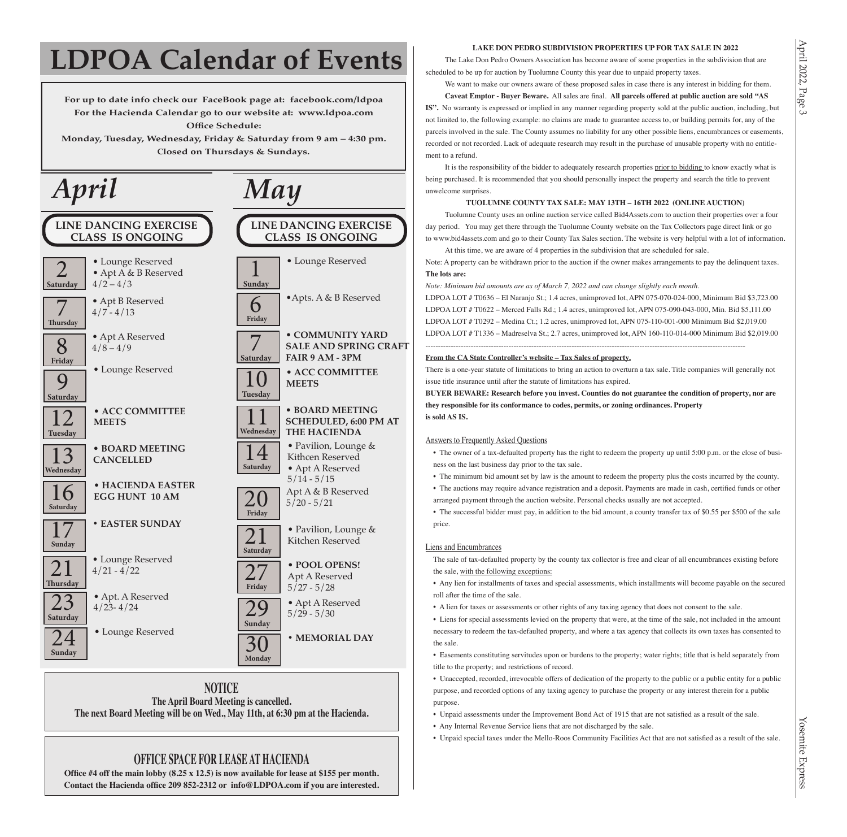# **LDPOA Calendar of Events**

**For up to date info check our FaceBook page at: facebook.com/ldpoa For the Hacienda Calendar go to our website at: www.ldpoa.com Office Schedule:**

**Monday, Tuesday, Wednesday, Friday & Saturday from 9 am – 4:30 pm. Closed on Thursdays & Sundays.** 



#### **NOTICE The April Board Meeting is cancelled. The next Board Meeting will be on Wed., May 11th, at 6:30 pm at the Hacienda.**

## **OFFICE SPACE FOR LEASE AT HACIENDA**

**Office #4 off the main lobby (8.25 x 12.5) is now available for lease at \$155 per month. Contact the Hacienda office 209 852-2312 or info@LDPOA.com if you are interested.**

#### **LAKE DON PEDRO SUBDIVISION PROPERTIES UP FOR TAX SALE IN 2022**

The Lake Don Pedro Owners Association has become aware of some properties in the subdivision that are scheduled to be up for auction by Tuolumne County this year due to unpaid property taxes.

We want to make our owners aware of these proposed sales in case there is any interest in bidding for them. **Caveat Emptor - Buyer Beware.** All sales are final. **All parcels offered at public auction are sold "AS IS".** No warranty is expressed or implied in any manner regarding property sold at the public auction, including, but not limited to, the following example: no claims are made to guarantee access to, or building permits for, any of the parcels involved in the sale. The County assumes no liability for any other possible liens, encumbrances or easements, recorded or not recorded. Lack of adequate research may result in the purchase of unusable property with no entitlement to a refund.

It is the responsibility of the bidder to adequately research properties prior to bidding to know exactly what is being purchased. It is recommended that you should personally inspect the property and search the title to prevent unwelcome surprises.

#### **TUOLUMNE COUNTY TAX SALE: MAY 13TH – 16TH 2022 (ONLINE AUCTION)**

Tuolumne County uses an online auction service called Bid4Assets.com to auction their properties over a four day period. You may get there through the Tuolumne County website on the Tax Collectors page direct link or go to www.bid4assets.com and go to their County Tax Sales section. The website is very helpful with a lot of information. At this time, we are aware of 4 properties in the subdivision that are scheduled for sale.

Note: A property can be withdrawn prior to the auction if the owner makes arrangements to pay the delinquent taxes. **The lots are:**

*Note: Minimum bid amounts are as of March 7, 2022 and can change slightly each month.*

LDPOA LOT # T0636 – El Naranjo St.; 1.4 acres, unimproved lot, APN 075-070-024-000, Minimum Bid \$3,723.00 LDPOA LOT # T0622 – Merced Falls Rd.; 1.4 acres, unimproved lot, APN 075-090-043-000, Min. Bid \$5,111.00 LDPOA LOT # T0292 – Medina Ct.; 1.2 acres, unimproved lot, APN 075-110-001-000 Minimum Bid \$2,019.00 LDPOA LOT # T1336 – Madreselva St.; 2.7 acres, unimproved lot, APN 160-110-014-000 Minimum Bid \$2,019.00

#### **From the CA State Controller's website – Tax Sales of property.**

There is a one-year statute of limitations to bring an action to overturn a tax sale. Title companies will generally not issue title insurance until after the statute of limitations has expired.

-------------------------------------------------------------------------------------------------------------------------------

**BUYER BEWARE: Research before you invest. Counties do not guarantee the condition of property, nor are they responsible for its conformance to codes, permits, or zoning ordinances. Property is sold AS IS.**

#### Answers to Frequently Asked Questions

• The owner of a tax-defaulted property has the right to redeem the property up until 5:00 p.m. or the close of business on the last business day prior to the tax sale.

• The minimum bid amount set by law is the amount to redeem the property plus the costs incurred by the county. • The auctions may require advance registration and a deposit. Payments are made in cash, certified funds or other

arranged payment through the auction website. Personal checks usually are not accepted.

• The successful bidder must pay, in addition to the bid amount, a county transfer tax of \$0.55 per \$500 of the sale price.

#### Liens and Encumbrances

The sale of tax-defaulted property by the county tax collector is free and clear of all encumbrances existing before the sale, with the following exceptions:

• Any lien for installments of taxes and special assessments, which installments will become payable on the secured roll after the time of the sale.

• A lien for taxes or assessments or other rights of any taxing agency that does not consent to the sale.

• Liens for special assessments levied on the property that were, at the time of the sale, not included in the amount necessary to redeem the tax-defaulted property, and where a tax agency that collects its own taxes has consented to the sale.

• Easements constituting servitudes upon or burdens to the property; water rights; title that is held separately from title to the property; and restrictions of record.

• Unaccepted, recorded, irrevocable offers of dedication of the property to the public or a public entity for a public purpose, and recorded options of any taxing agency to purchase the property or any interest therein for a public purpose.

- Unpaid assessments under the Improvement Bond Act of 1915 that are not satisfied as a result of the sale.
- Any Internal Revenue Service liens that are not discharged by the sale.
- Unpaid special taxes under the Mello-Roos Community Facilities Act that are not satisfied as a result of the sale.